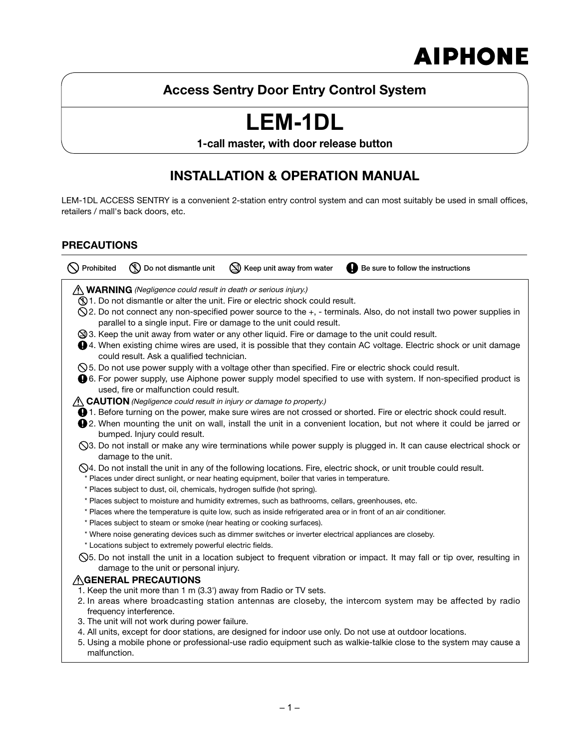# **AIPHONE**

### **Access Sentry Door Entry Control System**

# **LEM-1DL**

**1-call master, with door release button**

### **INSTALLATION & OPERATION MANUAL**

LEM-1DL ACCESS SENTRY is a convenient 2-station entry control system and can most suitably be used in small offices, retailers / mall's back doors, etc.

### **PRECAUTIONS**

| Prohibited                                                                                                                                                                                                                                                                  | Do not dismantle unit                                                    | Keep unit away from water                                                                                        | Be sure to follow the instructions                                                                                                                                                                                                        |  |  |  |  |  |
|-----------------------------------------------------------------------------------------------------------------------------------------------------------------------------------------------------------------------------------------------------------------------------|--------------------------------------------------------------------------|------------------------------------------------------------------------------------------------------------------|-------------------------------------------------------------------------------------------------------------------------------------------------------------------------------------------------------------------------------------------|--|--|--|--|--|
| <i>A</i> WARNING (Negligence could result in death or serious injury.)<br>1. Do not dismantle or alter the unit. Fire or electric shock could result.                                                                                                                       |                                                                          |                                                                                                                  |                                                                                                                                                                                                                                           |  |  |  |  |  |
| $\Diamond$ 2. Do not connect any non-specified power source to the $+$ , - terminals. Also, do not install two power supplies in<br>parallel to a single input. Fire or damage to the unit could result.                                                                    |                                                                          |                                                                                                                  |                                                                                                                                                                                                                                           |  |  |  |  |  |
| S 3. Keep the unit away from water or any other liquid. Fire or damage to the unit could result.<br><b>●</b> 4. When existing chime wires are used, it is possible that they contain AC voltage. Electric shock or unit damage<br>could result. Ask a qualified technician. |                                                                          |                                                                                                                  |                                                                                                                                                                                                                                           |  |  |  |  |  |
|                                                                                                                                                                                                                                                                             | used, fire or malfunction could result.                                  |                                                                                                                  | $\Diamond$ 5. Do not use power supply with a voltage other than specified. Fire or electric shock could result.<br><b>0</b> 6. For power supply, use Aiphone power supply model specified to use with system. If non-specified product is |  |  |  |  |  |
|                                                                                                                                                                                                                                                                             |                                                                          | $\wedge$ CAUTION (Negligence could result in injury or damage to property.)                                      |                                                                                                                                                                                                                                           |  |  |  |  |  |
| <b>1.</b> Before turning on the power, make sure wires are not crossed or shorted. Fire or electric shock could result.                                                                                                                                                     |                                                                          |                                                                                                                  |                                                                                                                                                                                                                                           |  |  |  |  |  |
|                                                                                                                                                                                                                                                                             | bumped. Injury could result.                                             |                                                                                                                  | <b>Q</b> 2. When mounting the unit on wall, install the unit in a convenient location, but not where it could be jarred or                                                                                                                |  |  |  |  |  |
|                                                                                                                                                                                                                                                                             | damage to the unit.                                                      |                                                                                                                  | ◯3. Do not install or make any wire terminations while power supply is plugged in. It can cause electrical shock or                                                                                                                       |  |  |  |  |  |
|                                                                                                                                                                                                                                                                             |                                                                          | * Places under direct sunlight, or near heating equipment, boiler that varies in temperature.                    | $\Diamond$ 4. Do not install the unit in any of the following locations. Fire, electric shock, or unit trouble could result.                                                                                                              |  |  |  |  |  |
|                                                                                                                                                                                                                                                                             | * Places subject to dust, oil, chemicals, hydrogen sulfide (hot spring). |                                                                                                                  |                                                                                                                                                                                                                                           |  |  |  |  |  |
|                                                                                                                                                                                                                                                                             |                                                                          | * Places subject to moisture and humidity extremes, such as bathrooms, cellars, greenhouses, etc.                |                                                                                                                                                                                                                                           |  |  |  |  |  |
|                                                                                                                                                                                                                                                                             | * Places subject to steam or smoke (near heating or cooking surfaces).   | * Places where the temperature is quite low, such as inside refrigerated area or in front of an air conditioner. |                                                                                                                                                                                                                                           |  |  |  |  |  |
|                                                                                                                                                                                                                                                                             |                                                                          | * Where noise generating devices such as dimmer switches or inverter electrical appliances are closeby.          |                                                                                                                                                                                                                                           |  |  |  |  |  |
|                                                                                                                                                                                                                                                                             | * Locations subject to extremely powerful electric fields.               |                                                                                                                  |                                                                                                                                                                                                                                           |  |  |  |  |  |
|                                                                                                                                                                                                                                                                             | damage to the unit or personal injury.                                   |                                                                                                                  | $\Diamond$ 5. Do not install the unit in a location subject to frequent vibration or impact. It may fall or tip over, resulting in                                                                                                        |  |  |  |  |  |
|                                                                                                                                                                                                                                                                             | $\wedge$ GENERAL PRECAUTIONS                                             |                                                                                                                  |                                                                                                                                                                                                                                           |  |  |  |  |  |
|                                                                                                                                                                                                                                                                             |                                                                          | 1. Keep the unit more than 1 m (3.3') away from Radio or TV sets.                                                |                                                                                                                                                                                                                                           |  |  |  |  |  |
|                                                                                                                                                                                                                                                                             | frequency interference.                                                  |                                                                                                                  | 2. In areas where broadcasting station antennas are closeby, the intercom system may be affected by radio                                                                                                                                 |  |  |  |  |  |
|                                                                                                                                                                                                                                                                             | 3. The unit will not work during power failure.                          |                                                                                                                  |                                                                                                                                                                                                                                           |  |  |  |  |  |
| malfunction.                                                                                                                                                                                                                                                                |                                                                          |                                                                                                                  | 4. All units, except for door stations, are designed for indoor use only. Do not use at outdoor locations.<br>5. Using a mobile phone or professional-use radio equipment such as walkie-talkie close to the system may cause a           |  |  |  |  |  |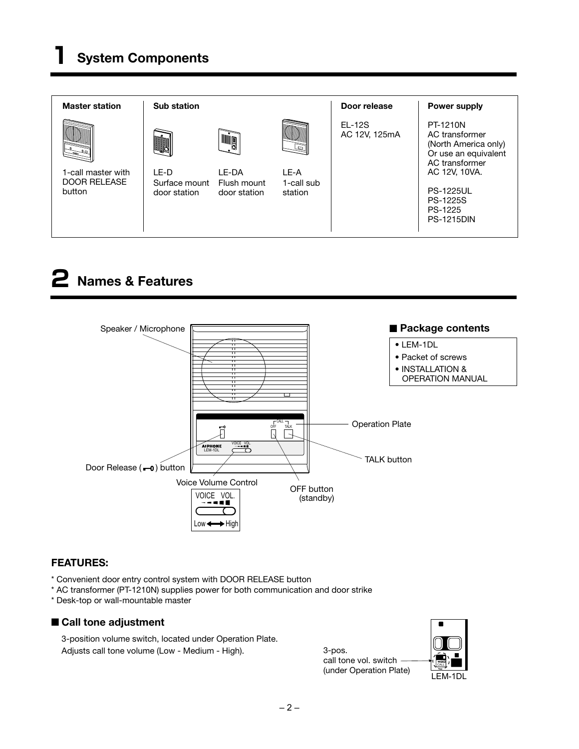

## **2 Names & Features**



### **FEATURES:**

- \* Convenient door entry control system with DOOR RELEASE button
- \* AC transformer (PT-1210N) supplies power for both communication and door strike
- \* Desk-top or wall-mountable master

### ■ Call tone adjustment

 3-position volume switch, located under Operation Plate. Adjusts call tone volume (Low - Medium - High).



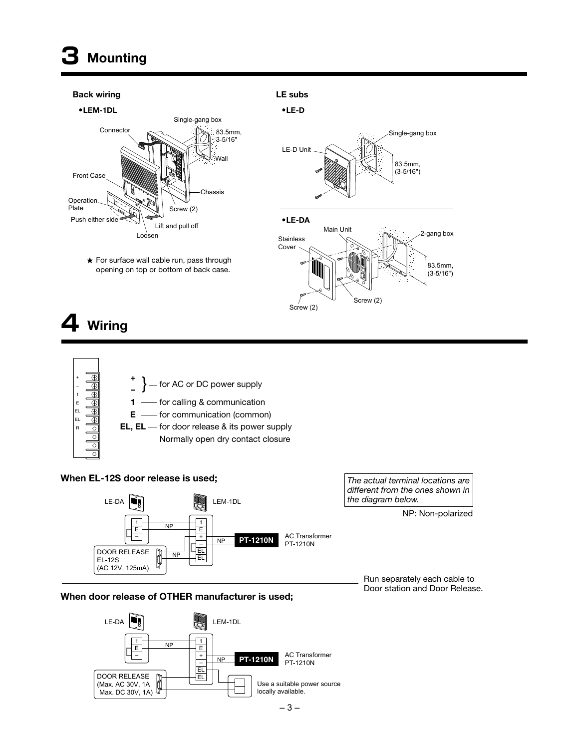# **3 Mounting**

#### **Back wiring LE subs**



 $\star$  For surface wall cable run, pass through opening on top or bottom of back case.



# **4 Wiring**



### **When EL-12S door release is used;**



**When door release of OTHER manufacturer is used;** 



*The actual terminal locations are different from the ones shown in the diagram below.*

NP: Non-polarized

Run separately each cable to Door station and Door Release.